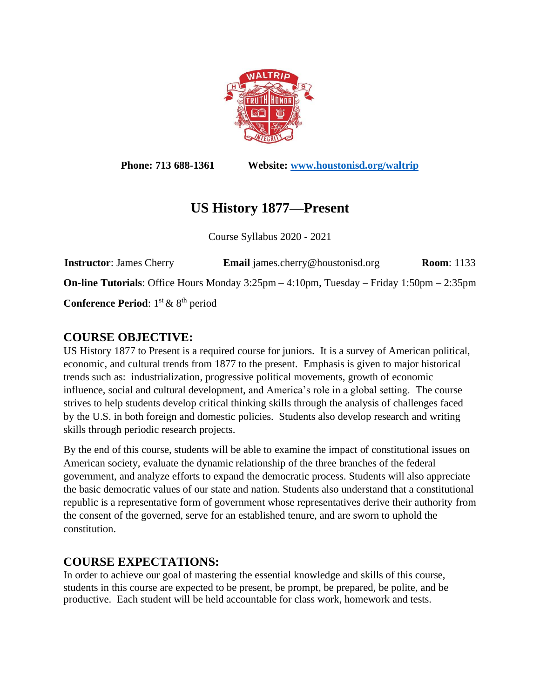

**Phone: 713 688-1361 Website: [www.houstonisd.org/waltrip](http://www.houstonisd.org/waltrip)**

# **US History 1877—Present**

Course Syllabus 2020 - 2021

**Instructor**: James Cherry **Email** james.cherry@houstonisd.org **Room**: 1133 **On-line Tutorials**: Office Hours Monday 3:25pm – 4:10pm, Tuesday – Friday 1:50pm – 2:35pm Conference Period:  $1<sup>st</sup>$  & 8<sup>th</sup> period

# **COURSE OBJECTIVE:**

US History 1877 to Present is a required course for juniors. It is a survey of American political, economic, and cultural trends from 1877 to the present. Emphasis is given to major historical trends such as: industrialization, progressive political movements, growth of economic influence, social and cultural development, and America's role in a global setting. The course strives to help students develop critical thinking skills through the analysis of challenges faced by the U.S. in both foreign and domestic policies. Students also develop research and writing skills through periodic research projects.

By the end of this course, students will be able to examine the impact of constitutional issues on American society, evaluate the dynamic relationship of the three branches of the federal government, and analyze efforts to expand the democratic process. Students will also appreciate the basic democratic values of our state and nation. Students also understand that a constitutional republic is a representative form of government whose representatives derive their authority from the consent of the governed, serve for an established tenure, and are sworn to uphold the constitution.

# **COURSE EXPECTATIONS:**

In order to achieve our goal of mastering the essential knowledge and skills of this course, students in this course are expected to be present, be prompt, be prepared, be polite, and be productive. Each student will be held accountable for class work, homework and tests.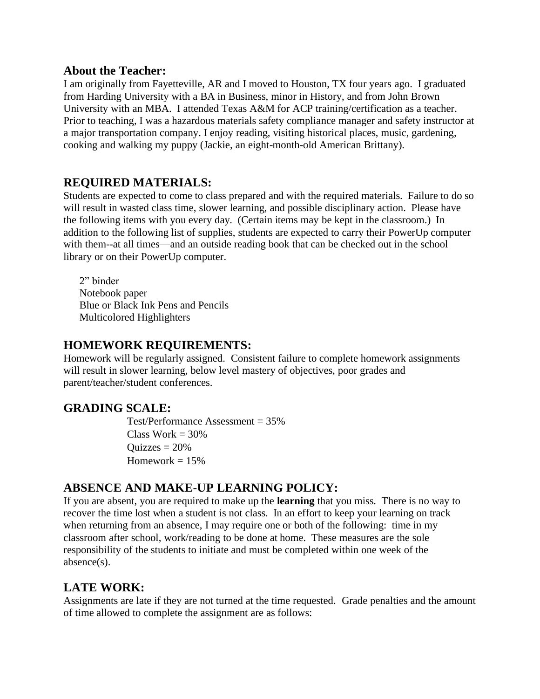#### **About the Teacher:**

I am originally from Fayetteville, AR and I moved to Houston, TX four years ago. I graduated from Harding University with a BA in Business, minor in History, and from John Brown University with an MBA. I attended Texas A&M for ACP training/certification as a teacher. Prior to teaching, I was a hazardous materials safety compliance manager and safety instructor at a major transportation company. I enjoy reading, visiting historical places, music, gardening, cooking and walking my puppy (Jackie, an eight-month-old American Brittany).

### **REQUIRED MATERIALS:**

Students are expected to come to class prepared and with the required materials. Failure to do so will result in wasted class time, slower learning, and possible disciplinary action. Please have the following items with you every day. (Certain items may be kept in the classroom.) In addition to the following list of supplies, students are expected to carry their PowerUp computer with them--at all times—and an outside reading book that can be checked out in the school library or on their PowerUp computer.

2" binder Notebook paper Blue or Black Ink Pens and Pencils Multicolored Highlighters

#### **HOMEWORK REQUIREMENTS:**

Homework will be regularly assigned. Consistent failure to complete homework assignments will result in slower learning, below level mastery of objectives, poor grades and parent/teacher/student conferences.

#### **GRADING SCALE:**

Test/Performance Assessment = 35% Class Work  $= 30\%$  $Quizzes = 20%$ Homework  $= 15\%$ 

#### **ABSENCE AND MAKE-UP LEARNING POLICY:**

If you are absent, you are required to make up the **learning** that you miss. There is no way to recover the time lost when a student is not class. In an effort to keep your learning on track when returning from an absence, I may require one or both of the following: time in my classroom after school, work/reading to be done at home. These measures are the sole responsibility of the students to initiate and must be completed within one week of the absence(s).

#### **LATE WORK:**

Assignments are late if they are not turned at the time requested. Grade penalties and the amount of time allowed to complete the assignment are as follows: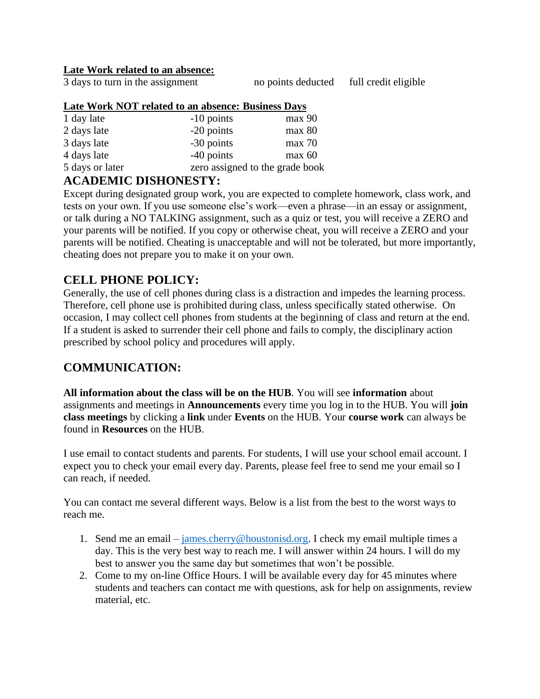#### **Late Work related to an absence:**

3 days to turn in the assignment no points deducted full credit eligible

#### **Late Work NOT related to an absence: Business Days**

| 1 day late      | $-10$ points                    | max 90 |
|-----------------|---------------------------------|--------|
| 2 days late     | -20 points                      | max 80 |
| 3 days late     | -30 points                      | max 70 |
| 4 days late     | -40 points                      | max 60 |
| 5 days or later | zero assigned to the grade book |        |

### **ACADEMIC DISHONESTY:**

Except during designated group work, you are expected to complete homework, class work, and tests on your own. If you use someone else's work—even a phrase—in an essay or assignment, or talk during a NO TALKING assignment, such as a quiz or test, you will receive a ZERO and your parents will be notified. If you copy or otherwise cheat, you will receive a ZERO and your parents will be notified. Cheating is unacceptable and will not be tolerated, but more importantly, cheating does not prepare you to make it on your own.

### **CELL PHONE POLICY:**

Generally, the use of cell phones during class is a distraction and impedes the learning process. Therefore, cell phone use is prohibited during class, unless specifically stated otherwise. On occasion, I may collect cell phones from students at the beginning of class and return at the end. If a student is asked to surrender their cell phone and fails to comply, the disciplinary action prescribed by school policy and procedures will apply.

### **COMMUNICATION:**

**All information about the class will be on the HUB**. You will see **information** about assignments and meetings in **Announcements** every time you log in to the HUB. You will **join class meetings** by clicking a **link** under **Events** on the HUB. Your **course work** can always be found in **Resources** on the HUB.

I use email to contact students and parents. For students, I will use your school email account. I expect you to check your email every day. Parents, please feel free to send me your email so I can reach, if needed.

You can contact me several different ways. Below is a list from the best to the worst ways to reach me.

- 1. Send me an email [james.cherry@houstonisd.org.](mailto:james.cherry@houstonisd.org) I check my email multiple times a day. This is the very best way to reach me. I will answer within 24 hours. I will do my best to answer you the same day but sometimes that won't be possible.
- 2. Come to my on-line Office Hours. I will be available every day for 45 minutes where students and teachers can contact me with questions, ask for help on assignments, review material, etc.